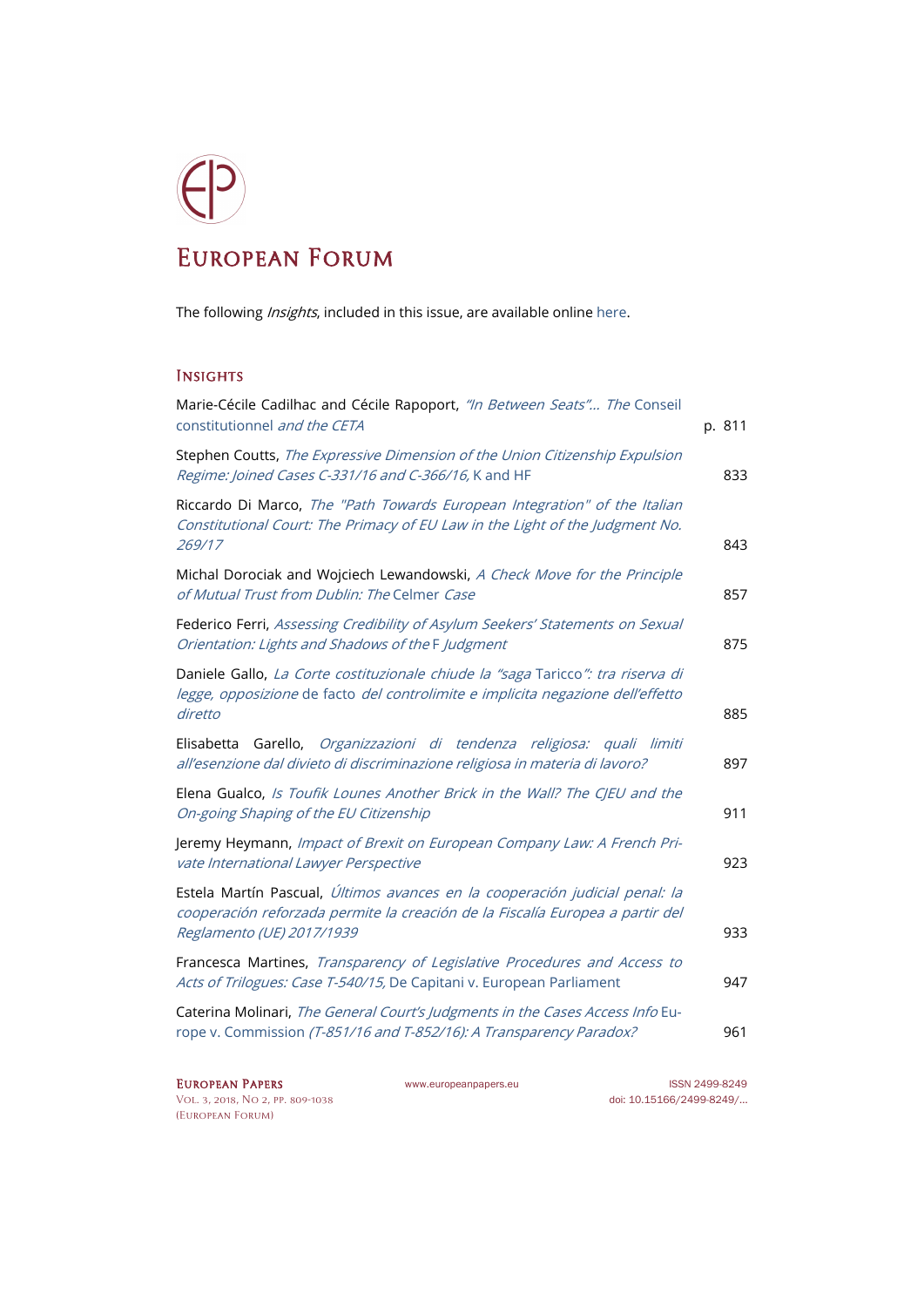## European Forum

The following *Insights*, included in this issue, are available online [here.](http://www.europeanpapers.eu/en/e-journal/EP_eJ_2018_2_European_Forum)

## **INSIGHTS**

| Marie-Cécile Cadilhac and Cécile Rapoport, "In Between Seats" The Conseil<br>constitutionnel and the CETA                                                                                 | p. 811 |
|-------------------------------------------------------------------------------------------------------------------------------------------------------------------------------------------|--------|
| Stephen Coutts, The Expressive Dimension of the Union Citizenship Expulsion<br>Regime: Joined Cases C-331/16 and C-366/16, K and HF                                                       | 833    |
| Riccardo Di Marco, The "Path Towards European Integration" of the Italian<br>Constitutional Court: The Primacy of EU Law in the Light of the Judgment No.<br>269/17                       | 843    |
| Michal Dorociak and Wojciech Lewandowski, A Check Move for the Principle<br>of Mutual Trust from Dublin: The Celmer Case                                                                  | 857    |
| Federico Ferri, Assessing Credibility of Asylum Seekers' Statements on Sexual<br>Orientation: Lights and Shadows of the F Judgment                                                        | 875    |
| Daniele Gallo, La Corte costituzionale chiude la "saga Taricco": tra riserva di<br>legge, opposizione de facto del controlimite e implicita negazione dell'effetto<br>diretto             | 885    |
| Garello, Organizzazioni di tendenza religiosa: quali limiti<br>Elisabetta<br>all'esenzione dal divieto di discriminazione religiosa in materia di lavoro?                                 | 897    |
| Elena Gualco, Is Toufik Lounes Another Brick in the Wall? The CJEU and the<br>On-going Shaping of the EU Citizenship                                                                      | 911    |
| Jeremy Heymann, Impact of Brexit on European Company Law: A French Pri-<br>vate International Lawyer Perspective                                                                          | 923    |
| Estela Martín Pascual, Últimos avances en la cooperación judicial penal: la<br>cooperación reforzada permite la creación de la Fiscalía Europea a partir del<br>Reglamento (UE) 2017/1939 | 933    |
| Francesca Martines, Transparency of Legislative Procedures and Access to<br>Acts of Trilogues: Case T-540/15, De Capitani v. European Parliament                                          | 947    |
| Caterina Molinari, The General Court's Judgments in the Cases Access Info Eu-<br>rope v. Commission (T-851/16 and T-852/16): A Transparency Paradox?                                      | 961    |

[Vol. 3, 2018, No 2,](http://www.europeanpapers.eu/en/content/e-journal/EP_eJ_2018_2) pp. 809-1038 doi[: 10.15166/2499-8249/...](https://search.datacite.org/works?query=+10.15166+2499-8249) [\(European Forum\)](http://www.europeanpapers.eu/en/e-journal/EP_eJ_2018_2_European_Forum)